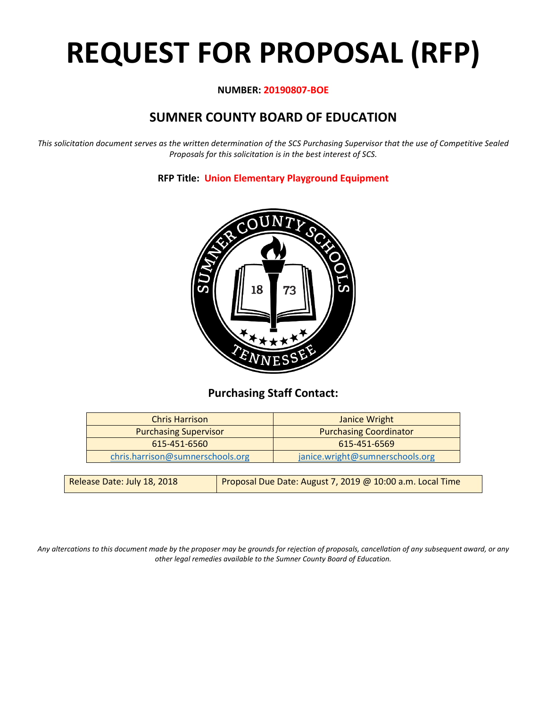# **REQUEST FOR PROPOSAL (RFP)**

## **NUMBER: 20190807-BOE**

## **SUMNER COUNTY BOARD OF EDUCATION**

*This solicitation document serves as the written determination of the SCS Purchasing Supervisor that the use of Competitive Sealed Proposals for this solicitation is in the best interest of SCS.*

> 18 73

## **RFP Title: Union Elementary Playground Equipment**

## **Purchasing Staff Contact:**

| Janice Wright                   |
|---------------------------------|
| <b>Purchasing Coordinator</b>   |
| 615-451-6569                    |
| janice.wright@sumnerschools.org |
|                                 |

*Any altercations to this document made by the proposer may be grounds for rejection of proposals, cancellation of any subsequent award, or any other legal remedies available to the Sumner County Board of Education.*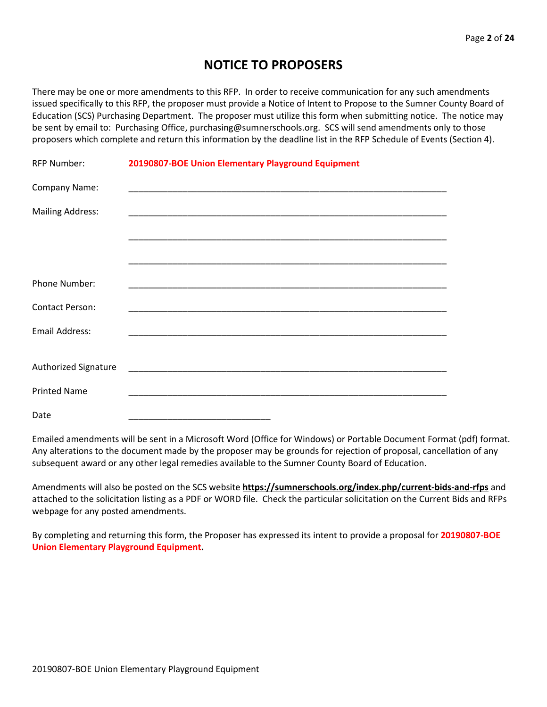## **NOTICE TO PROPOSERS**

There may be one or more amendments to this RFP. In order to receive communication for any such amendments issued specifically to this RFP, the proposer must provide a Notice of Intent to Propose to the Sumner County Board of Education (SCS) Purchasing Department. The proposer must utilize this form when submitting notice. The notice may be sent by email to: Purchasing Office, purchasing@sumnerschools.org. SCS will send amendments only to those proposers which complete and return this information by the deadline list in the RFP Schedule of Events (Section 4).

| <b>RFP Number:</b>      | 20190807-BOE Union Elementary Playground Equipment |
|-------------------------|----------------------------------------------------|
| Company Name:           |                                                    |
| <b>Mailing Address:</b> |                                                    |
|                         |                                                    |
|                         |                                                    |
| Phone Number:           |                                                    |
| <b>Contact Person:</b>  |                                                    |
| Email Address:          |                                                    |
|                         |                                                    |
| Authorized Signature    |                                                    |
| <b>Printed Name</b>     |                                                    |
| Date                    |                                                    |

Emailed amendments will be sent in a Microsoft Word (Office for Windows) or Portable Document Format (pdf) format. Any alterations to the document made by the proposer may be grounds for rejection of proposal, cancellation of any subsequent award or any other legal remedies available to the Sumner County Board of Education.

Amendments will also be posted on the SCS website **https://sumnerschools.org/index.php/current-bids-and-rfps** and attached to the solicitation listing as a PDF or WORD file. Check the particular solicitation on the Current Bids and RFPs webpage for any posted amendments.

By completing and returning this form, the Proposer has expressed its intent to provide a proposal for **20190807-BOE Union Elementary Playground Equipment.**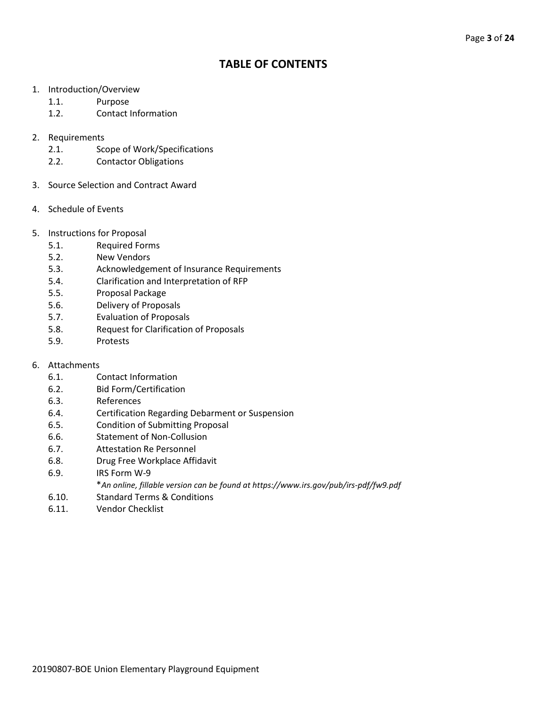## **TABLE OF CONTENTS**

- 1. Introduction/Overview
	- 1.1. Purpose
	- 1.2. Contact Information
- 2. Requirements
	- 2.1. Scope of Work/Specifications
	- 2.2. Contactor Obligations
- 3. Source Selection and Contract Award
- 4. Schedule of Events
- 5. Instructions for Proposal
	- 5.1. Required Forms
	- 5.2. New Vendors
	- 5.3. Acknowledgement of Insurance Requirements
	- 5.4. Clarification and Interpretation of RFP
	- 5.5. Proposal Package
	- 5.6. Delivery of Proposals
	- 5.7. Evaluation of Proposals
	- 5.8. Request for Clarification of Proposals
	- 5.9. Protests
- 6. Attachments
	- 6.1. Contact Information
	- 6.2. Bid Form/Certification
	- 6.3. References
	- 6.4. Certification Regarding Debarment or Suspension
	- 6.5. Condition of Submitting Proposal
	- 6.6. Statement of Non-Collusion
	- 6.7. Attestation Re Personnel
	- 6.8. Drug Free Workplace Affidavit
	- 6.9. IRS Form W-9
		- \**An online, fillable version can be found at https://www.irs.gov/pub/irs-pdf/fw9.pdf*
	- 6.10. Standard Terms & Conditions
	- 6.11. Vendor Checklist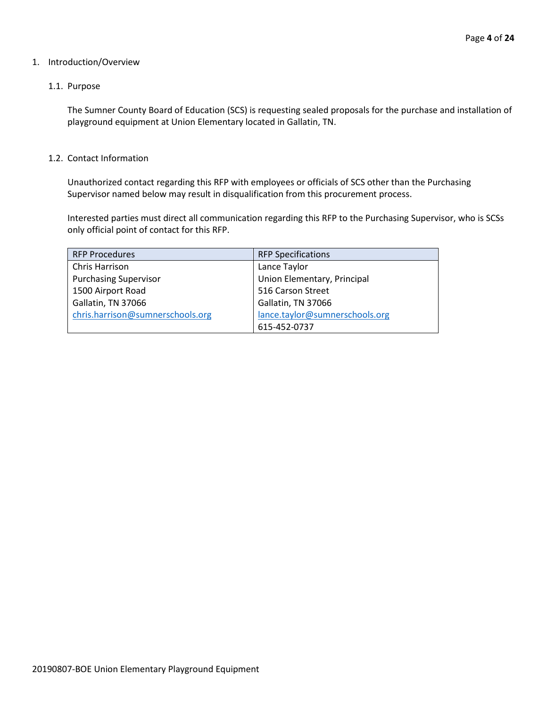## 1. Introduction/Overview

## 1.1. Purpose

The Sumner County Board of Education (SCS) is requesting sealed proposals for the purchase and installation of playground equipment at Union Elementary located in Gallatin, TN.

## 1.2. Contact Information

Unauthorized contact regarding this RFP with employees or officials of SCS other than the Purchasing Supervisor named below may result in disqualification from this procurement process.

Interested parties must direct all communication regarding this RFP to the Purchasing Supervisor, who is SCSs only official point of contact for this RFP.

| <b>RFP Procedures</b>            | <b>RFP Specifications</b>      |
|----------------------------------|--------------------------------|
| Chris Harrison                   | Lance Taylor                   |
| <b>Purchasing Supervisor</b>     | Union Elementary, Principal    |
| 1500 Airport Road                | 516 Carson Street              |
| Gallatin, TN 37066               | Gallatin, TN 37066             |
| chris.harrison@sumnerschools.org | lance.taylor@sumnerschools.org |
|                                  | 615-452-0737                   |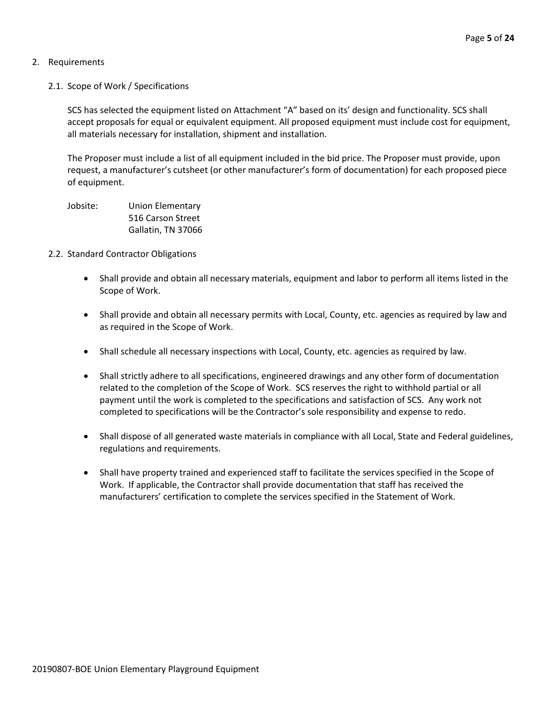## 2. Requirements

2.1. Scope of Work / Specifications

SCS has selected the equipment listed on Attachment "A" based on its' design and functionality. SCS shall accept proposals for equal or equivalent equipment. All proposed equipment must include cost for equipment, all materials necessary for installation, shipment and installation.

The Proposer must include a list of all equipment included in the bid price. The Proposer must provide, upon request, a manufacturer's cutsheet (or other manufacturer's form of documentation) for each proposed piece of equipment.

Jobsite: Union Elementary 516 Carson Street Gallatin, TN 37066

- 2.2. Standard Contractor Obligations
	- Shall provide and obtain all necessary materials, equipment and labor to perform all items listed in the Scope of Work.
	- Shall provide and obtain all necessary permits with Local, County, etc. agencies as required by law and as required in the Scope of Work.
	- Shall schedule all necessary inspections with Local, County, etc. agencies as required by law.
	- Shall strictly adhere to all specifications, engineered drawings and any other form of documentation related to the completion of the Scope of Work. SCS reserves the right to withhold partial or all payment until the work is completed to the specifications and satisfaction of SCS. Any work not completed to specifications will be the Contractor's sole responsibility and expense to redo.
	- Shall dispose of all generated waste materials in compliance with all Local, State and Federal guidelines, regulations and requirements.
	- Shall have property trained and experienced staff to facilitate the services specified in the Scope of Work. If applicable, the Contractor shall provide documentation that staff has received the manufacturers' certification to complete the services specified in the Statement of Work.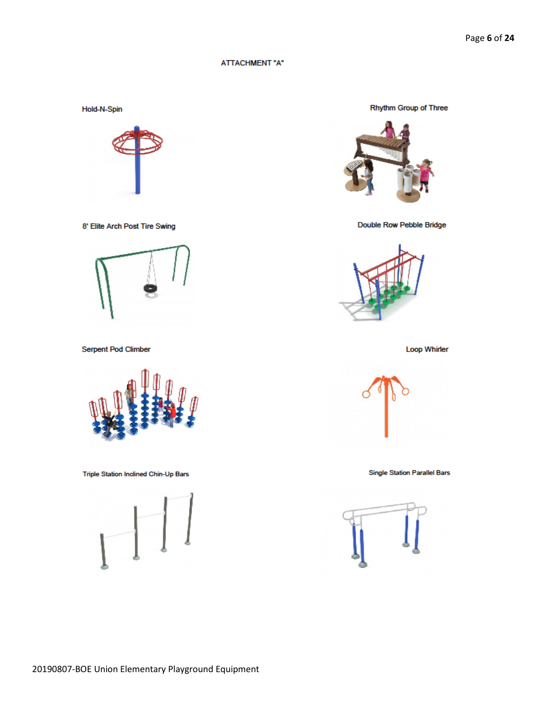#### **ATTACHMENT "A"**

Hold-N-Spin



8' Elite Arch Post Tire Swing



Serpent Pod Climber



Triple Station Inclined Chin-Up Bars



Rhythm Group of Three



Double Row Pebble Bridge



**Loop Whirler** 



**Single Station Parallel Bars** 

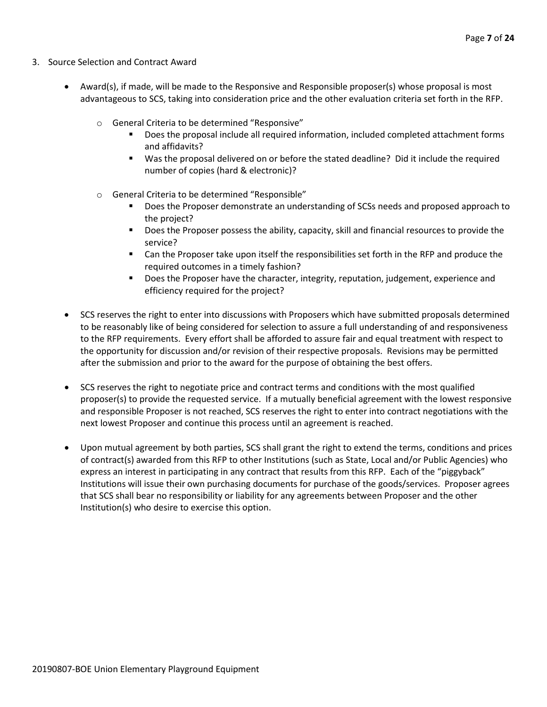- 3. Source Selection and Contract Award
	- Award(s), if made, will be made to the Responsive and Responsible proposer(s) whose proposal is most advantageous to SCS, taking into consideration price and the other evaluation criteria set forth in the RFP.
		- o General Criteria to be determined "Responsive"
			- Does the proposal include all required information, included completed attachment forms and affidavits?
			- Was the proposal delivered on or before the stated deadline? Did it include the required number of copies (hard & electronic)?
		- o General Criteria to be determined "Responsible"
			- Does the Proposer demonstrate an understanding of SCSs needs and proposed approach to the project?
			- **Does the Proposer possess the ability, capacity, skill and financial resources to provide the** service?
			- Can the Proposer take upon itself the responsibilities set forth in the RFP and produce the required outcomes in a timely fashion?
			- **Does the Proposer have the character, integrity, reputation, judgement, experience and** efficiency required for the project?
	- SCS reserves the right to enter into discussions with Proposers which have submitted proposals determined to be reasonably like of being considered for selection to assure a full understanding of and responsiveness to the RFP requirements. Every effort shall be afforded to assure fair and equal treatment with respect to the opportunity for discussion and/or revision of their respective proposals. Revisions may be permitted after the submission and prior to the award for the purpose of obtaining the best offers.
	- SCS reserves the right to negotiate price and contract terms and conditions with the most qualified proposer(s) to provide the requested service. If a mutually beneficial agreement with the lowest responsive and responsible Proposer is not reached, SCS reserves the right to enter into contract negotiations with the next lowest Proposer and continue this process until an agreement is reached.
	- Upon mutual agreement by both parties, SCS shall grant the right to extend the terms, conditions and prices of contract(s) awarded from this RFP to other Institutions (such as State, Local and/or Public Agencies) who express an interest in participating in any contract that results from this RFP. Each of the "piggyback" Institutions will issue their own purchasing documents for purchase of the goods/services. Proposer agrees that SCS shall bear no responsibility or liability for any agreements between Proposer and the other Institution(s) who desire to exercise this option.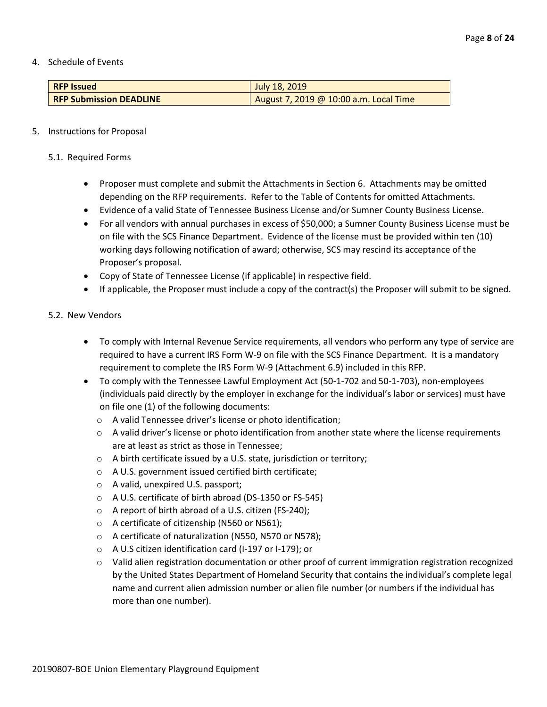4. Schedule of Events

| <b>RFP Issued</b>              | July 18, 2019                          |
|--------------------------------|----------------------------------------|
| <b>RFP Submission DEADLINE</b> | August 7, 2019 @ 10:00 a.m. Local Time |

## 5. Instructions for Proposal

- 5.1. Required Forms
	- Proposer must complete and submit the Attachments in Section 6. Attachments may be omitted depending on the RFP requirements. Refer to the Table of Contents for omitted Attachments.
	- Evidence of a valid State of Tennessee Business License and/or Sumner County Business License.
	- For all vendors with annual purchases in excess of \$50,000; a Sumner County Business License must be on file with the SCS Finance Department. Evidence of the license must be provided within ten (10) working days following notification of award; otherwise, SCS may rescind its acceptance of the Proposer's proposal.
	- Copy of State of Tennessee License (if applicable) in respective field.
	- If applicable, the Proposer must include a copy of the contract(s) the Proposer will submit to be signed.

## 5.2. New Vendors

- To comply with Internal Revenue Service requirements, all vendors who perform any type of service are required to have a current IRS Form W-9 on file with the SCS Finance Department. It is a mandatory requirement to complete the IRS Form W-9 (Attachment 6.9) included in this RFP.
- To comply with the Tennessee Lawful Employment Act (50-1-702 and 50-1-703), non-employees (individuals paid directly by the employer in exchange for the individual's labor or services) must have on file one (1) of the following documents:
	- o A valid Tennessee driver's license or photo identification;
	- $\circ$  A valid driver's license or photo identification from another state where the license requirements are at least as strict as those in Tennessee;
	- o A birth certificate issued by a U.S. state, jurisdiction or territory;
	- o A U.S. government issued certified birth certificate;
	- o A valid, unexpired U.S. passport;
	- o A U.S. certificate of birth abroad (DS-1350 or FS-545)
	- o A report of birth abroad of a U.S. citizen (FS-240);
	- o A certificate of citizenship (N560 or N561);
	- o A certificate of naturalization (N550, N570 or N578);
	- o A U.S citizen identification card (I-197 or I-179); or
	- o Valid alien registration documentation or other proof of current immigration registration recognized by the United States Department of Homeland Security that contains the individual's complete legal name and current alien admission number or alien file number (or numbers if the individual has more than one number).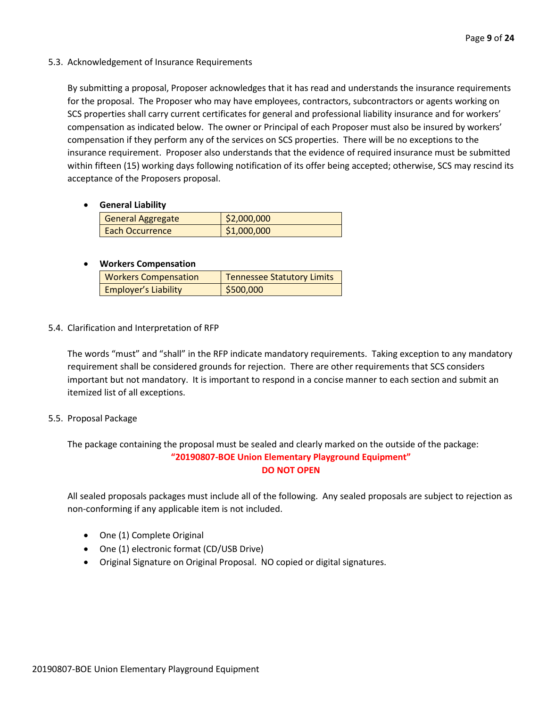5.3. Acknowledgement of Insurance Requirements

By submitting a proposal, Proposer acknowledges that it has read and understands the insurance requirements for the proposal. The Proposer who may have employees, contractors, subcontractors or agents working on SCS properties shall carry current certificates for general and professional liability insurance and for workers' compensation as indicated below. The owner or Principal of each Proposer must also be insured by workers' compensation if they perform any of the services on SCS properties. There will be no exceptions to the insurance requirement. Proposer also understands that the evidence of required insurance must be submitted within fifteen (15) working days following notification of its offer being accepted; otherwise, SCS may rescind its acceptance of the Proposers proposal.

• **General Liability**

| <b>General Aggregate</b> | \$2,000,000 |
|--------------------------|-------------|
| <b>Each Occurrence</b>   | \$1,000,000 |

## • **Workers Compensation**

| <b>Workers Compensation</b> | <b>Tennessee Statutory Limits</b> |
|-----------------------------|-----------------------------------|
| <b>Employer's Liability</b> | \$500,000                         |

5.4. Clarification and Interpretation of RFP

The words "must" and "shall" in the RFP indicate mandatory requirements. Taking exception to any mandatory requirement shall be considered grounds for rejection. There are other requirements that SCS considers important but not mandatory. It is important to respond in a concise manner to each section and submit an itemized list of all exceptions.

## 5.5. Proposal Package

The package containing the proposal must be sealed and clearly marked on the outside of the package: **"20190807-BOE Union Elementary Playground Equipment" DO NOT OPEN**

All sealed proposals packages must include all of the following. Any sealed proposals are subject to rejection as non-conforming if any applicable item is not included.

- One (1) Complete Original
- One (1) electronic format (CD/USB Drive)
- Original Signature on Original Proposal. NO copied or digital signatures.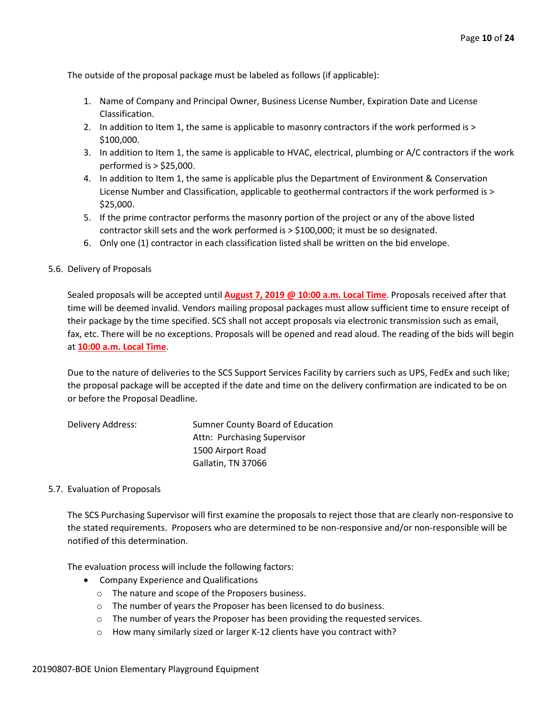The outside of the proposal package must be labeled as follows (if applicable):

- 1. Name of Company and Principal Owner, Business License Number, Expiration Date and License Classification.
- 2. In addition to Item 1, the same is applicable to masonry contractors if the work performed is > \$100,000.
- 3. In addition to Item 1, the same is applicable to HVAC, electrical, plumbing or A/C contractors if the work performed is > \$25,000.
- 4. In addition to Item 1, the same is applicable plus the Department of Environment & Conservation License Number and Classification, applicable to geothermal contractors if the work performed is > \$25,000.
- 5. If the prime contractor performs the masonry portion of the project or any of the above listed contractor skill sets and the work performed is > \$100,000; it must be so designated.
- 6. Only one (1) contractor in each classification listed shall be written on the bid envelope.
- 5.6. Delivery of Proposals

Sealed proposals will be accepted until **August 7, 2019 @ 10:00 a.m. Local Time**. Proposals received after that time will be deemed invalid. Vendors mailing proposal packages must allow sufficient time to ensure receipt of their package by the time specified. SCS shall not accept proposals via electronic transmission such as email, fax, etc. There will be no exceptions. Proposals will be opened and read aloud. The reading of the bids will begin at **10:00 a.m. Local Time**.

Due to the nature of deliveries to the SCS Support Services Facility by carriers such as UPS, FedEx and such like; the proposal package will be accepted if the date and time on the delivery confirmation are indicated to be on or before the Proposal Deadline.

| Delivery Address: | Sumner County Board of Education |
|-------------------|----------------------------------|
|                   | Attn: Purchasing Supervisor      |
|                   | 1500 Airport Road                |
|                   | Gallatin, TN 37066               |

## 5.7. Evaluation of Proposals

The SCS Purchasing Supervisor will first examine the proposals to reject those that are clearly non-responsive to the stated requirements. Proposers who are determined to be non-responsive and/or non-responsible will be notified of this determination.

The evaluation process will include the following factors:

- Company Experience and Qualifications
	- o The nature and scope of the Proposers business.
	- o The number of years the Proposer has been licensed to do business.
	- o The number of years the Proposer has been providing the requested services.
	- o How many similarly sized or larger K-12 clients have you contract with?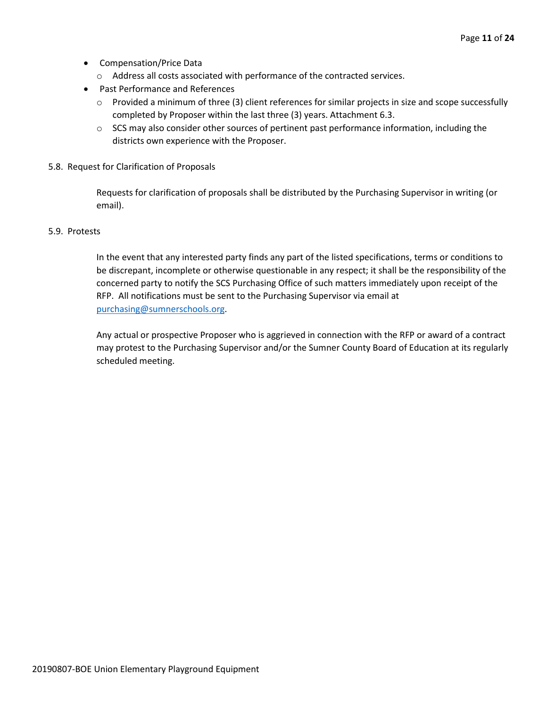- Compensation/Price Data
	- o Address all costs associated with performance of the contracted services.
- Past Performance and References
	- o Provided a minimum of three (3) client references for similar projects in size and scope successfully completed by Proposer within the last three (3) years. Attachment 6.3.
	- $\circ$  SCS may also consider other sources of pertinent past performance information, including the districts own experience with the Proposer.
- 5.8. Request for Clarification of Proposals

Requests for clarification of proposals shall be distributed by the Purchasing Supervisor in writing (or email).

## 5.9. Protests

In the event that any interested party finds any part of the listed specifications, terms or conditions to be discrepant, incomplete or otherwise questionable in any respect; it shall be the responsibility of the concerned party to notify the SCS Purchasing Office of such matters immediately upon receipt of the RFP. All notifications must be sent to the Purchasing Supervisor via email at [purchasing@sumnerschools.org.](mailto:purchasing@sumnerschools.org)

Any actual or prospective Proposer who is aggrieved in connection with the RFP or award of a contract may protest to the Purchasing Supervisor and/or the Sumner County Board of Education at its regularly scheduled meeting.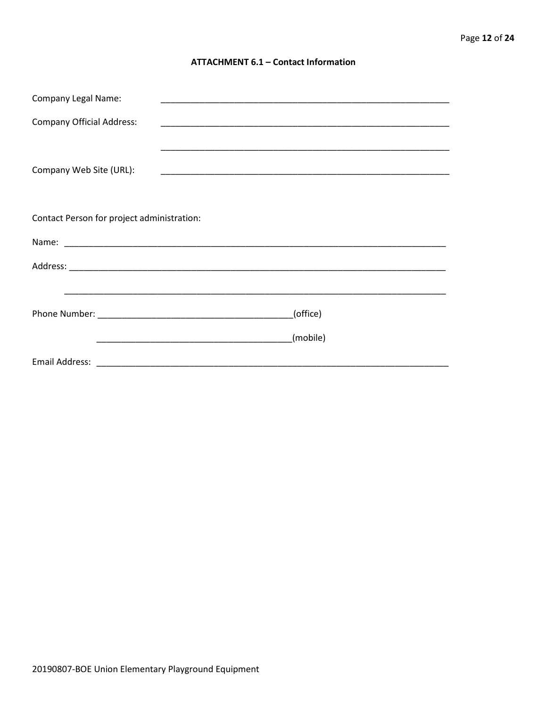## **ATTACHMENT 6.1 - Contact Information**

| <b>Company Legal Name:</b>                 |          |  |  |  |  |
|--------------------------------------------|----------|--|--|--|--|
| <b>Company Official Address:</b>           |          |  |  |  |  |
|                                            |          |  |  |  |  |
| Company Web Site (URL):                    |          |  |  |  |  |
|                                            |          |  |  |  |  |
| Contact Person for project administration: |          |  |  |  |  |
|                                            |          |  |  |  |  |
|                                            |          |  |  |  |  |
|                                            |          |  |  |  |  |
|                                            | (office) |  |  |  |  |
|                                            | (mobile) |  |  |  |  |
|                                            |          |  |  |  |  |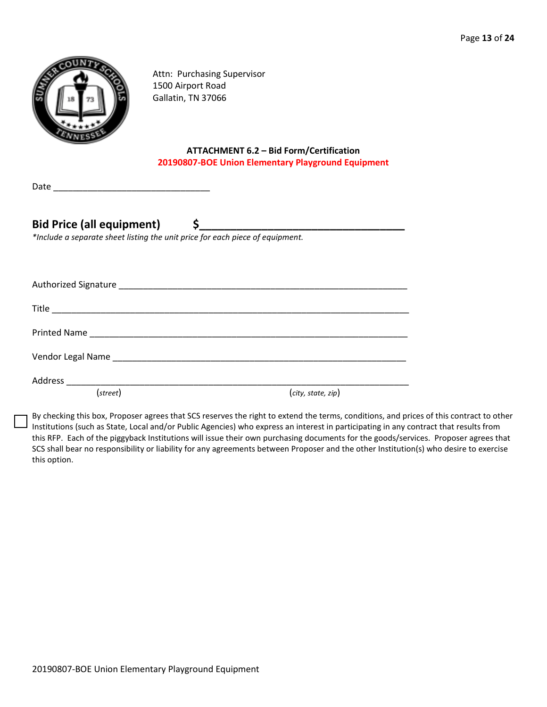

Attn: Purchasing Supervisor 1500 Airport Road Gallatin, TN 37066

## **ATTACHMENT 6.2 – Bid Form/Certification 20190807-BOE Union Elementary Playground Equipment**

| Date |  |  |  |
|------|--|--|--|
|      |  |  |  |
|      |  |  |  |

## Bid Price (all equipment) \$

*\*Include a separate sheet listing the unit price for each piece of equipment.*

| (street) | (city, state, zip) |
|----------|--------------------|

By checking this box, Proposer agrees that SCS reserves the right to extend the terms, conditions, and prices of this contract to other Institutions (such as State, Local and/or Public Agencies) who express an interest in participating in any contract that results from this RFP. Each of the piggyback Institutions will issue their own purchasing documents for the goods/services. Proposer agrees that SCS shall bear no responsibility or liability for any agreements between Proposer and the other Institution(s) who desire to exercise this option.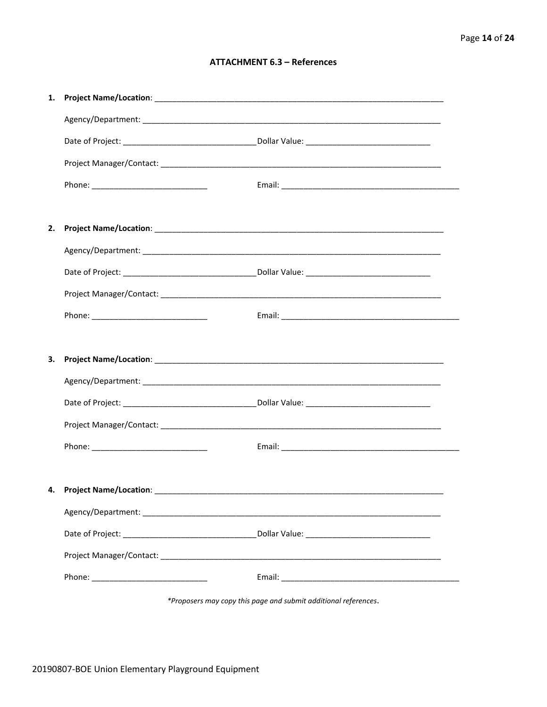## **ATTACHMENT 6.3 - References**

| 1. |                                 |  |
|----|---------------------------------|--|
|    |                                 |  |
|    |                                 |  |
|    |                                 |  |
|    |                                 |  |
|    |                                 |  |
| 2. |                                 |  |
|    |                                 |  |
|    |                                 |  |
|    |                                 |  |
|    |                                 |  |
|    |                                 |  |
| З. |                                 |  |
|    |                                 |  |
|    |                                 |  |
|    |                                 |  |
|    |                                 |  |
|    |                                 |  |
|    | 4. Project Name/Location: _____ |  |
|    |                                 |  |
|    |                                 |  |
|    |                                 |  |
|    |                                 |  |
|    |                                 |  |

\*Proposers may copy this page and submit additional references.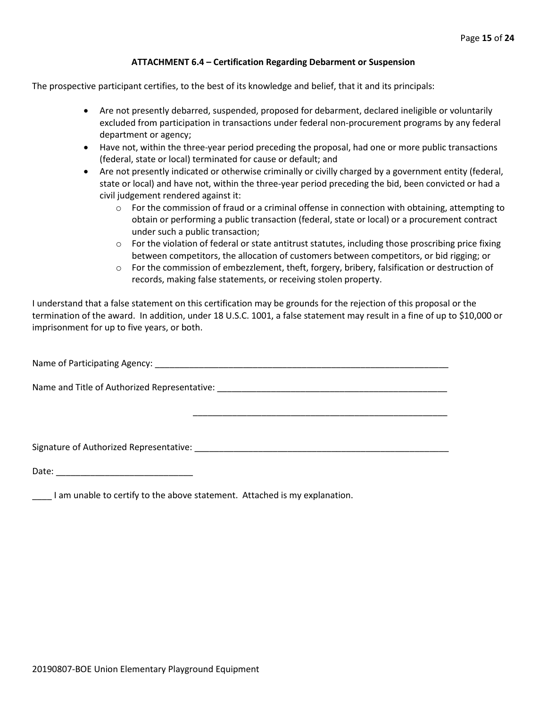## **ATTACHMENT 6.4 – Certification Regarding Debarment or Suspension**

The prospective participant certifies, to the best of its knowledge and belief, that it and its principals:

- Are not presently debarred, suspended, proposed for debarment, declared ineligible or voluntarily excluded from participation in transactions under federal non-procurement programs by any federal department or agency;
- Have not, within the three-year period preceding the proposal, had one or more public transactions (federal, state or local) terminated for cause or default; and
- Are not presently indicated or otherwise criminally or civilly charged by a government entity (federal, state or local) and have not, within the three-year period preceding the bid, been convicted or had a civil judgement rendered against it:
	- $\circ$  For the commission of fraud or a criminal offense in connection with obtaining, attempting to obtain or performing a public transaction (federal, state or local) or a procurement contract under such a public transaction;
	- $\circ$  For the violation of federal or state antitrust statutes, including those proscribing price fixing between competitors, the allocation of customers between competitors, or bid rigging; or
	- o For the commission of embezzlement, theft, forgery, bribery, falsification or destruction of records, making false statements, or receiving stolen property.

\_\_\_\_\_\_\_\_\_\_\_\_\_\_\_\_\_\_\_\_\_\_\_\_\_\_\_\_\_\_\_\_\_\_\_\_\_\_\_\_\_\_\_\_\_\_\_\_\_\_\_\_

I understand that a false statement on this certification may be grounds for the rejection of this proposal or the termination of the award. In addition, under 18 U.S.C. 1001, a false statement may result in a fine of up to \$10,000 or imprisonment for up to five years, or both.

Name of Participating Agency: \_\_\_\_\_\_\_\_\_\_\_\_\_\_\_\_\_\_\_\_\_\_\_\_\_\_\_\_\_\_\_\_\_\_\_\_\_\_\_\_\_\_\_\_\_\_\_\_\_\_\_\_\_\_\_\_\_\_\_\_

Name and Title of Authorized Representative: \_\_\_\_\_\_\_\_\_\_\_\_\_\_\_\_\_\_\_\_\_\_\_\_\_\_\_\_\_\_\_\_\_\_\_\_\_\_\_\_\_\_\_\_\_\_\_

Signature of Authorized Representative: \_\_\_\_\_\_\_\_\_\_\_\_\_\_\_\_\_\_\_\_\_\_\_\_\_\_\_\_\_\_\_\_\_\_\_\_\_\_\_\_\_\_\_\_\_\_\_\_\_\_\_\_

Date: \_\_\_\_\_\_\_\_\_\_\_\_\_\_\_\_\_\_\_\_\_\_\_\_\_\_\_\_

\_\_\_\_ I am unable to certify to the above statement. Attached is my explanation.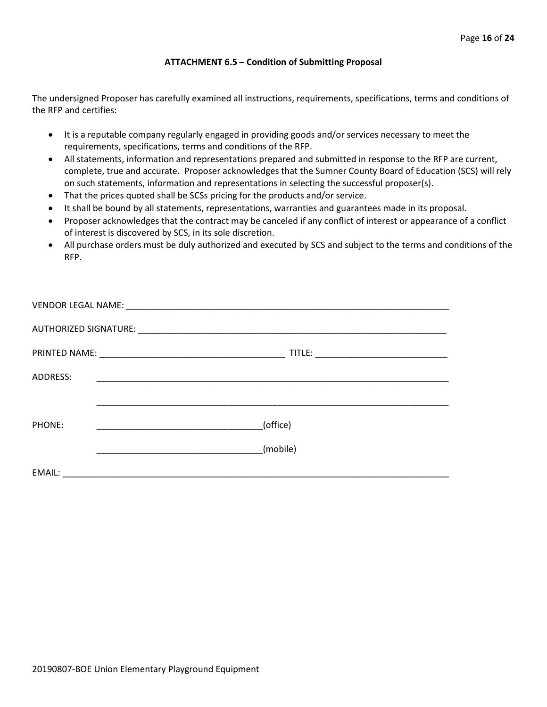## **ATTACHMENT 6.5 – Condition of Submitting Proposal**

The undersigned Proposer has carefully examined all instructions, requirements, specifications, terms and conditions of the RFP and certifies:

- It is a reputable company regularly engaged in providing goods and/or services necessary to meet the requirements, specifications, terms and conditions of the RFP.
- All statements, information and representations prepared and submitted in response to the RFP are current, complete, true and accurate. Proposer acknowledges that the Sumner County Board of Education (SCS) will rely on such statements, information and representations in selecting the successful proposer(s).
- That the prices quoted shall be SCSs pricing for the products and/or service.
- It shall be bound by all statements, representations, warranties and guarantees made in its proposal.
- Proposer acknowledges that the contract may be canceled if any conflict of interest or appearance of a conflict of interest is discovered by SCS, in its sole discretion.
- All purchase orders must be duly authorized and executed by SCS and subject to the terms and conditions of the RFP.

| <b>ADDRESS:</b> |          |  |
|-----------------|----------|--|
|                 |          |  |
| PHONE:          | (office) |  |
|                 | (mobile) |  |
| EMAIL:          |          |  |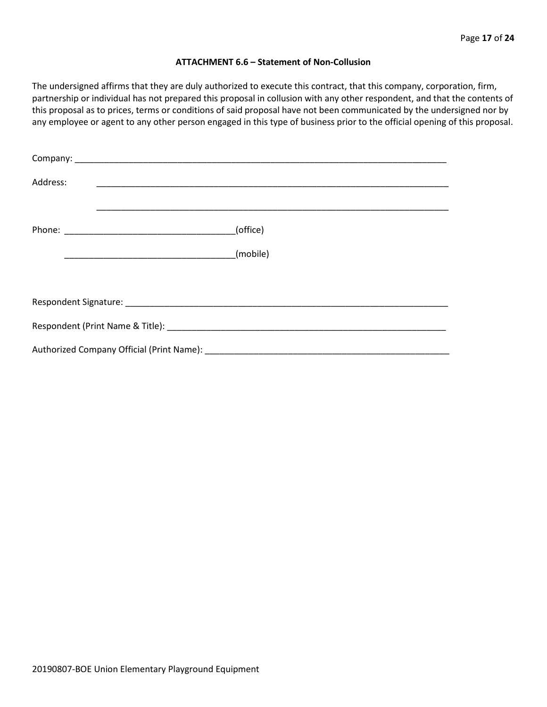#### **ATTACHMENT 6.6 – Statement of Non-Collusion**

The undersigned affirms that they are duly authorized to execute this contract, that this company, corporation, firm, partnership or individual has not prepared this proposal in collusion with any other respondent, and that the contents of this proposal as to prices, terms or conditions of said proposal have not been communicated by the undersigned nor by any employee or agent to any other person engaged in this type of business prior to the official opening of this proposal.

| Address: |          |
|----------|----------|
|          | (office) |
|          |          |
|          |          |
|          |          |
|          |          |
|          |          |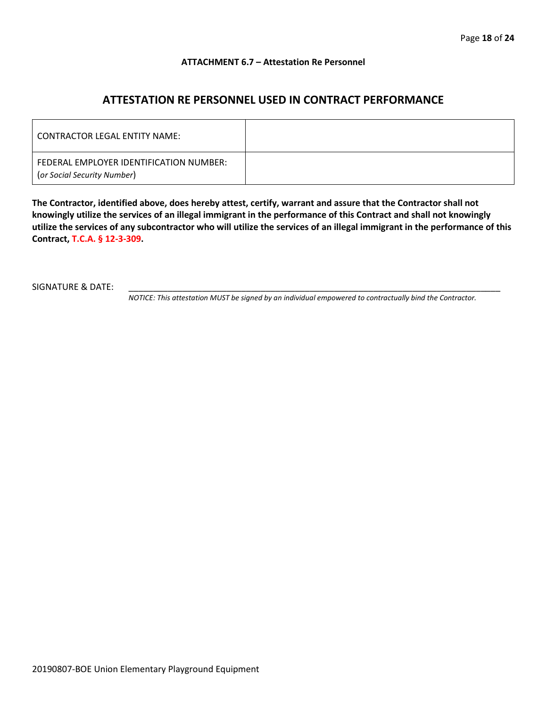## **ATTACHMENT 6.7 – Attestation Re Personnel**

## **ATTESTATION RE PERSONNEL USED IN CONTRACT PERFORMANCE**

| CONTRACTOR LEGAL ENTITY NAME:                                          |  |
|------------------------------------------------------------------------|--|
| FEDERAL EMPLOYER IDENTIFICATION NUMBER:<br>(or Social Security Number) |  |

**The Contractor, identified above, does hereby attest, certify, warrant and assure that the Contractor shall not knowingly utilize the services of an illegal immigrant in the performance of this Contract and shall not knowingly utilize the services of any subcontractor who will utilize the services of an illegal immigrant in the performance of this Contract, T.C.A. § 12-3-309.**

SIGNATURE & DATE:

*NOTICE: This attestation MUST be signed by an individual empowered to contractually bind the Contractor.*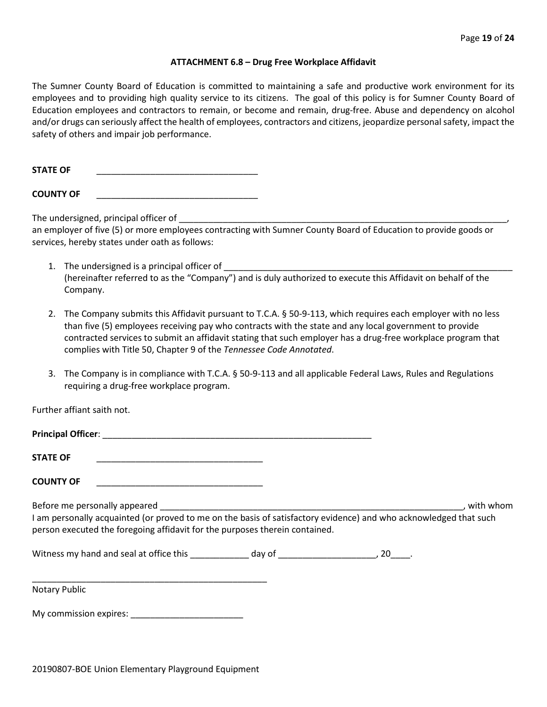#### **ATTACHMENT 6.8 – Drug Free Workplace Affidavit**

The Sumner County Board of Education is committed to maintaining a safe and productive work environment for its employees and to providing high quality service to its citizens. The goal of this policy is for Sumner County Board of Education employees and contractors to remain, or become and remain, drug-free. Abuse and dependency on alcohol and/or drugs can seriously affect the health of employees, contractors and citizens, jeopardize personal safety, impact the safety of others and impair job performance.

STATE OF

**COUNTY OF** \_\_\_\_\_\_\_\_\_\_\_\_\_\_\_\_\_\_\_\_\_\_\_\_\_\_\_\_\_\_\_\_\_

The undersigned, principal officer of

an employer of five (5) or more employees contracting with Sumner County Board of Education to provide goods or services, hereby states under oath as follows:

- 1. The undersigned is a principal officer of (hereinafter referred to as the "Company") and is duly authorized to execute this Affidavit on behalf of the Company.
- 2. The Company submits this Affidavit pursuant to T.C.A. § 50-9-113, which requires each employer with no less than five (5) employees receiving pay who contracts with the state and any local government to provide contracted services to submit an affidavit stating that such employer has a drug-free workplace program that complies with Title 50, Chapter 9 of the *Tennessee Code Annotated*.
- 3. The Company is in compliance with T.C.A. § 50-9-113 and all applicable Federal Laws, Rules and Regulations requiring a drug-free workplace program.

Further affiant saith not.

| <b>STATE OF</b><br><u> 1989 - Johann John Stone, mars et al. 1989 - John Stone, mars et al. 1989 - John Stone, mars et al. 1989 - John Stone</u>                                                 |  |             |
|--------------------------------------------------------------------------------------------------------------------------------------------------------------------------------------------------|--|-------------|
| <b>COUNTY OF</b>                                                                                                                                                                                 |  |             |
| I am personally acquainted (or proved to me on the basis of satisfactory evidence) and who acknowledged that such<br>person executed the foregoing affidavit for the purposes therein contained. |  | . with whom |
|                                                                                                                                                                                                  |  |             |
| <b>Notary Public</b>                                                                                                                                                                             |  |             |
| My commission expires: Network and the set of the set of the set of the set of the set of the set of the set o                                                                                   |  |             |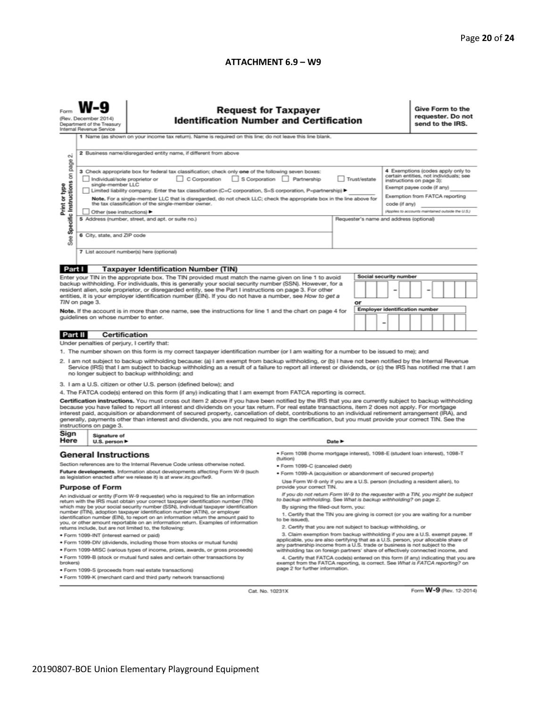## **ATTACHMENT 6.9 – W9**

|                                                                                                                                                                                                                                                                                                                                                                                                                                                                                                                                                                                                                                                          | <b>Request for Taxpayer</b><br><b>Identification Number and Certification</b><br>(Rev. December 2014)<br>Department of the Treasury<br>Internal Revenue Service<br>1 Name (as shown on your income tax return). Name is required on this line; do not leave this line blank.                                                                                                                                                                              |                                                                                                                                                                                             |                                                                                                                                                                                                        |                                                                              |  |  |  |                                                                                                                                               | Give Form to the<br>requester. Do not<br>send to the IRS. |  |  |  |  |
|----------------------------------------------------------------------------------------------------------------------------------------------------------------------------------------------------------------------------------------------------------------------------------------------------------------------------------------------------------------------------------------------------------------------------------------------------------------------------------------------------------------------------------------------------------------------------------------------------------------------------------------------------------|-----------------------------------------------------------------------------------------------------------------------------------------------------------------------------------------------------------------------------------------------------------------------------------------------------------------------------------------------------------------------------------------------------------------------------------------------------------|---------------------------------------------------------------------------------------------------------------------------------------------------------------------------------------------|--------------------------------------------------------------------------------------------------------------------------------------------------------------------------------------------------------|------------------------------------------------------------------------------|--|--|--|-----------------------------------------------------------------------------------------------------------------------------------------------|-----------------------------------------------------------|--|--|--|--|
| $\sim$<br>page                                                                                                                                                                                                                                                                                                                                                                                                                                                                                                                                                                                                                                           | 2 Business name/disregarded entity name, if different from above<br>4 Exemptions (codes apply only to<br>3 Check appropriate box for federal tax classification; check only one of the following seven boxes:<br>certain entities, not individuals; see                                                                                                                                                                                                   |                                                                                                                                                                                             |                                                                                                                                                                                                        |                                                                              |  |  |  |                                                                                                                                               |                                                           |  |  |  |  |
| Specific Instructions on<br>Print or type                                                                                                                                                                                                                                                                                                                                                                                                                                                                                                                                                                                                                | C Corporation S Corporation Partnership<br>Trust/estate<br>Individual/sole proprietor or<br>single-member LLC<br>Limited liability company. Enter the tax classification (C=C corporation, S=S corporation, P=partnership) ▶<br>Note. For a single-member LLC that is disregarded, do not check LLC; check the appropriate box in the line above for<br>the tax classification of the single-member owner.<br>code (if any)<br>Other (see instructions) ▶ |                                                                                                                                                                                             |                                                                                                                                                                                                        |                                                                              |  |  |  | instructions on page 3):<br>Exempt payee code (if any)<br>Exemption from FATCA reporting<br>(Applies to accounts maintained outside the U.S.) |                                                           |  |  |  |  |
| æ<br>αñ                                                                                                                                                                                                                                                                                                                                                                                                                                                                                                                                                                                                                                                  | 5 Address (number, street, and apt. or suite no.)<br>Requester's name and address (optional)<br>6 City, state, and ZIP code                                                                                                                                                                                                                                                                                                                               |                                                                                                                                                                                             |                                                                                                                                                                                                        |                                                                              |  |  |  |                                                                                                                                               |                                                           |  |  |  |  |
|                                                                                                                                                                                                                                                                                                                                                                                                                                                                                                                                                                                                                                                          | 7 List account number(s) here (optional)                                                                                                                                                                                                                                                                                                                                                                                                                  |                                                                                                                                                                                             |                                                                                                                                                                                                        |                                                                              |  |  |  |                                                                                                                                               |                                                           |  |  |  |  |
| Part I                                                                                                                                                                                                                                                                                                                                                                                                                                                                                                                                                                                                                                                   |                                                                                                                                                                                                                                                                                                                                                                                                                                                           | <b>Taxpayer Identification Number (TIN)</b>                                                                                                                                                 |                                                                                                                                                                                                        |                                                                              |  |  |  |                                                                                                                                               |                                                           |  |  |  |  |
| <b>Social security number</b><br>Enter your TIN in the appropriate box. The TIN provided must match the name given on line 1 to avoid<br>backup withholding. For individuals, this is generally your social security number (SSN). However, for a<br>resident alien, sole proprietor, or disregarded entity, see the Part I instructions on page 3. For other<br>entities, it is your employer identification number (EIN). If you do not have a number, see How to get a<br>TIN on page 3.<br>or                                                                                                                                                        |                                                                                                                                                                                                                                                                                                                                                                                                                                                           |                                                                                                                                                                                             |                                                                                                                                                                                                        |                                                                              |  |  |  |                                                                                                                                               |                                                           |  |  |  |  |
| <b>Employer identification number</b><br>Note. If the account is in more than one name, see the instructions for line 1 and the chart on page 4 for<br>guidelines on whose number to enter.<br>-                                                                                                                                                                                                                                                                                                                                                                                                                                                         |                                                                                                                                                                                                                                                                                                                                                                                                                                                           |                                                                                                                                                                                             |                                                                                                                                                                                                        |                                                                              |  |  |  |                                                                                                                                               |                                                           |  |  |  |  |
| Part II                                                                                                                                                                                                                                                                                                                                                                                                                                                                                                                                                                                                                                                  | <b>Certification</b>                                                                                                                                                                                                                                                                                                                                                                                                                                      |                                                                                                                                                                                             |                                                                                                                                                                                                        |                                                                              |  |  |  |                                                                                                                                               |                                                           |  |  |  |  |
|                                                                                                                                                                                                                                                                                                                                                                                                                                                                                                                                                                                                                                                          | Under penalties of perjury, I certify that:                                                                                                                                                                                                                                                                                                                                                                                                               |                                                                                                                                                                                             |                                                                                                                                                                                                        |                                                                              |  |  |  |                                                                                                                                               |                                                           |  |  |  |  |
| 1. The number shown on this form is my correct taxpayer identification number (or I am waiting for a number to be issued to me); and<br>2. I am not subject to backup withholding because: (a) I am exempt from backup withholding, or (b) I have not been notified by the Internal Revenue<br>Service (IRS) that I am subject to backup withholding as a result of a failure to report all interest or dividends, or (c) the IRS has notified me that I am<br>no longer subject to backup withholding; and                                                                                                                                              |                                                                                                                                                                                                                                                                                                                                                                                                                                                           |                                                                                                                                                                                             |                                                                                                                                                                                                        |                                                                              |  |  |  |                                                                                                                                               |                                                           |  |  |  |  |
|                                                                                                                                                                                                                                                                                                                                                                                                                                                                                                                                                                                                                                                          |                                                                                                                                                                                                                                                                                                                                                                                                                                                           | 3. I am a U.S. citizen or other U.S. person (defined below); and                                                                                                                            |                                                                                                                                                                                                        |                                                                              |  |  |  |                                                                                                                                               |                                                           |  |  |  |  |
|                                                                                                                                                                                                                                                                                                                                                                                                                                                                                                                                                                                                                                                          |                                                                                                                                                                                                                                                                                                                                                                                                                                                           | 4. The FATCA code(s) entered on this form (if any) indicating that I am exempt from FATCA reporting is correct.                                                                             |                                                                                                                                                                                                        |                                                                              |  |  |  |                                                                                                                                               |                                                           |  |  |  |  |
| Certification instructions. You must cross out item 2 above if you have been notified by the IRS that you are currently subject to backup withholding<br>because you have failed to report all interest and dividends on your tax return. For real estate transactions, item 2 does not apply. For mortgage<br>interest paid, acquisition or abandonment of secured property, cancellation of debt, contributions to an individual retirement arrangement (IRA), and<br>generally, payments other than interest and dividends, you are not required to sign the certification, but you must provide your correct TIN. See the<br>instructions on page 3. |                                                                                                                                                                                                                                                                                                                                                                                                                                                           |                                                                                                                                                                                             |                                                                                                                                                                                                        |                                                                              |  |  |  |                                                                                                                                               |                                                           |  |  |  |  |
| Sign<br>Here                                                                                                                                                                                                                                                                                                                                                                                                                                                                                                                                                                                                                                             | Signature of<br>U.S. person $\blacktriangleright$                                                                                                                                                                                                                                                                                                                                                                                                         |                                                                                                                                                                                             |                                                                                                                                                                                                        | Date P                                                                       |  |  |  |                                                                                                                                               |                                                           |  |  |  |  |
|                                                                                                                                                                                                                                                                                                                                                                                                                                                                                                                                                                                                                                                          | <b>General Instructions</b>                                                                                                                                                                                                                                                                                                                                                                                                                               |                                                                                                                                                                                             | (tuition)                                                                                                                                                                                              | · Form 1098 (home mortgage interest), 1098-E (student loan interest), 1098-T |  |  |  |                                                                                                                                               |                                                           |  |  |  |  |
| Section references are to the Internal Revenue Code unless otherwise noted.                                                                                                                                                                                                                                                                                                                                                                                                                                                                                                                                                                              |                                                                                                                                                                                                                                                                                                                                                                                                                                                           | · Form 1099-C (canceled debt)                                                                                                                                                               |                                                                                                                                                                                                        |                                                                              |  |  |  |                                                                                                                                               |                                                           |  |  |  |  |
| Future developments. Information about developments affecting Form W-9 (such<br>as legislation enacted after we release it) is at www.irs.gov/fw9.                                                                                                                                                                                                                                                                                                                                                                                                                                                                                                       |                                                                                                                                                                                                                                                                                                                                                                                                                                                           |                                                                                                                                                                                             | · Form 1099-A (acquisition or abandonment of secured property)                                                                                                                                         |                                                                              |  |  |  |                                                                                                                                               |                                                           |  |  |  |  |
| <b>Purpose of Form</b>                                                                                                                                                                                                                                                                                                                                                                                                                                                                                                                                                                                                                                   |                                                                                                                                                                                                                                                                                                                                                                                                                                                           | Use Form W-9 only if you are a U.S. person (including a resident alien), to<br>provide your correct TIN.<br>If you do not return Form W-9 to the requester with a TIN, you might be subject |                                                                                                                                                                                                        |                                                                              |  |  |  |                                                                                                                                               |                                                           |  |  |  |  |
| An individual or entity (Form W-9 requester) who is required to file an information<br>to backup withholding. See What is backup withholding? on page 2.<br>return with the IRS must obtain your correct taxpayer identification number (TIN)<br>which may be your social security number (SSN), individual taxpayer identification<br>By signing the filled-out form, you:                                                                                                                                                                                                                                                                              |                                                                                                                                                                                                                                                                                                                                                                                                                                                           |                                                                                                                                                                                             |                                                                                                                                                                                                        |                                                                              |  |  |  |                                                                                                                                               |                                                           |  |  |  |  |
| number (ITIN), adoption taxpayer identification number (ATIN), or employer<br>identification number (EIN), to report on an information return the amount paid to<br>you, or other amount reportable on an information return. Examples of information                                                                                                                                                                                                                                                                                                                                                                                                    |                                                                                                                                                                                                                                                                                                                                                                                                                                                           |                                                                                                                                                                                             | 1. Certify that the TIN you are giving is correct (or you are waiting for a number<br>to be issued).<br>2. Certify that you are not subject to backup withholding, or                                  |                                                                              |  |  |  |                                                                                                                                               |                                                           |  |  |  |  |
|                                                                                                                                                                                                                                                                                                                                                                                                                                                                                                                                                                                                                                                          | · Form 1099-INT (interest earned or paid)                                                                                                                                                                                                                                                                                                                                                                                                                 | returns include, but are not limited to, the following:                                                                                                                                     | 3. Claim exemption from backup withholding if you are a U.S. exempt payee. If                                                                                                                          |                                                                              |  |  |  |                                                                                                                                               |                                                           |  |  |  |  |
| applicable, you are also certifying that as a U.S. person, your allocable share of<br>. Form 1099-DIV (dividends, including those from stocks or mutual funds)<br>any partnership income from a U.S. trade or business is not subject to the                                                                                                                                                                                                                                                                                                                                                                                                             |                                                                                                                                                                                                                                                                                                                                                                                                                                                           |                                                                                                                                                                                             |                                                                                                                                                                                                        |                                                                              |  |  |  |                                                                                                                                               |                                                           |  |  |  |  |
|                                                                                                                                                                                                                                                                                                                                                                                                                                                                                                                                                                                                                                                          |                                                                                                                                                                                                                                                                                                                                                                                                                                                           | . Form 1099-MISC (various types of income, prizes, awards, or gross proceeds)                                                                                                               | withholding tax on foreign partners' share of effectively connected income, and                                                                                                                        |                                                                              |  |  |  |                                                                                                                                               |                                                           |  |  |  |  |
| brokers)                                                                                                                                                                                                                                                                                                                                                                                                                                                                                                                                                                                                                                                 |                                                                                                                                                                                                                                                                                                                                                                                                                                                           | . Form 1099-B (stock or mutual fund sales and certain other transactions by<br>· Form 1099-S (proceeds from real estate transactions)                                                       | 4. Certify that FATCA code(s) entered on this form (if any) indicating that you are<br>exempt from the FATCA reporting, is correct. See What is FATCA reporting? on<br>page 2 for further information. |                                                                              |  |  |  |                                                                                                                                               |                                                           |  |  |  |  |
| . Form 1099-K (merchant card and third party network transactions)                                                                                                                                                                                                                                                                                                                                                                                                                                                                                                                                                                                       |                                                                                                                                                                                                                                                                                                                                                                                                                                                           |                                                                                                                                                                                             |                                                                                                                                                                                                        |                                                                              |  |  |  |                                                                                                                                               |                                                           |  |  |  |  |

Cat. No. 10231X

Form W-9 (Rev. 12-2014)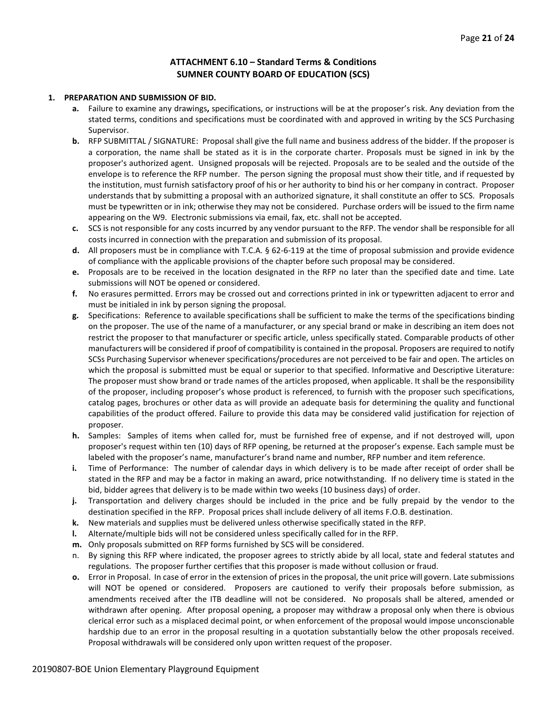## **ATTACHMENT 6.10 – Standard Terms & Conditions SUMNER COUNTY BOARD OF EDUCATION (SCS)**

#### **1. PREPARATION AND SUBMISSION OF BID.**

- **a.** Failure to examine any drawings**,** specifications, or instructions will be at the proposer's risk. Any deviation from the stated terms, conditions and specifications must be coordinated with and approved in writing by the SCS Purchasing Supervisor.
- **b.** RFP SUBMITTAL / SIGNATURE: Proposal shall give the full name and business address of the bidder. If the proposer is a corporation, the name shall be stated as it is in the corporate charter. Proposals must be signed in ink by the proposer's authorized agent. Unsigned proposals will be rejected. Proposals are to be sealed and the outside of the envelope is to reference the RFP number. The person signing the proposal must show their title, and if requested by the institution, must furnish satisfactory proof of his or her authority to bind his or her company in contract. Proposer understands that by submitting a proposal with an authorized signature, it shall constitute an offer to SCS. Proposals must be typewritten or in ink; otherwise they may not be considered. Purchase orders will be issued to the firm name appearing on the W9. Electronic submissions via email, fax, etc. shall not be accepted.
- **c.** SCS is not responsible for any costs incurred by any vendor pursuant to the RFP. The vendor shall be responsible for all costs incurred in connection with the preparation and submission of its proposal.
- **d.** All proposers must be in compliance with T.C.A. § 62-6-119 at the time of proposal submission and provide evidence of compliance with the applicable provisions of the chapter before such proposal may be considered.
- **e.** Proposals are to be received in the location designated in the RFP no later than the specified date and time. Late submissions will NOT be opened or considered.
- **f.** No erasures permitted. Errors may be crossed out and corrections printed in ink or typewritten adjacent to error and must be initialed in ink by person signing the proposal.
- **g.** Specifications: Reference to available specifications shall be sufficient to make the terms of the specifications binding on the proposer. The use of the name of a manufacturer, or any special brand or make in describing an item does not restrict the proposer to that manufacturer or specific article, unless specifically stated. Comparable products of other manufacturers will be considered if proof of compatibility is contained in the proposal. Proposers are required to notify SCSs Purchasing Supervisor whenever specifications/procedures are not perceived to be fair and open. The articles on which the proposal is submitted must be equal or superior to that specified. Informative and Descriptive Literature: The proposer must show brand or trade names of the articles proposed, when applicable. It shall be the responsibility of the proposer, including proposer's whose product is referenced, to furnish with the proposer such specifications, catalog pages, brochures or other data as will provide an adequate basis for determining the quality and functional capabilities of the product offered. Failure to provide this data may be considered valid justification for rejection of proposer.
- **h.** Samples: Samples of items when called for, must be furnished free of expense, and if not destroyed will, upon proposer's request within ten (10) days of RFP opening, be returned at the proposer's expense. Each sample must be labeled with the proposer's name, manufacturer's brand name and number, RFP number and item reference.
- **i.** Time of Performance: The number of calendar days in which delivery is to be made after receipt of order shall be stated in the RFP and may be a factor in making an award, price notwithstanding. If no delivery time is stated in the bid, bidder agrees that delivery is to be made within two weeks (10 business days) of order.
- **j.** Transportation and delivery charges should be included in the price and be fully prepaid by the vendor to the destination specified in the RFP. Proposal prices shall include delivery of all items F.O.B. destination.
- **k.** New materials and supplies must be delivered unless otherwise specifically stated in the RFP.
- **l.** Alternate/multiple bids will not be considered unless specifically called for in the RFP.
- **m.** Only proposals submitted on RFP forms furnished by SCS will be considered.
- n. By signing this RFP where indicated, the proposer agrees to strictly abide by all local, state and federal statutes and regulations. The proposer further certifies that this proposer is made without collusion or fraud.
- **o.** Error in Proposal. In case of error in the extension of prices in the proposal, the unit price will govern. Late submissions will NOT be opened or considered. Proposers are cautioned to verify their proposals before submission, as amendments received after the ITB deadline will not be considered. No proposals shall be altered, amended or withdrawn after opening. After proposal opening, a proposer may withdraw a proposal only when there is obvious clerical error such as a misplaced decimal point, or when enforcement of the proposal would impose unconscionable hardship due to an error in the proposal resulting in a quotation substantially below the other proposals received. Proposal withdrawals will be considered only upon written request of the proposer.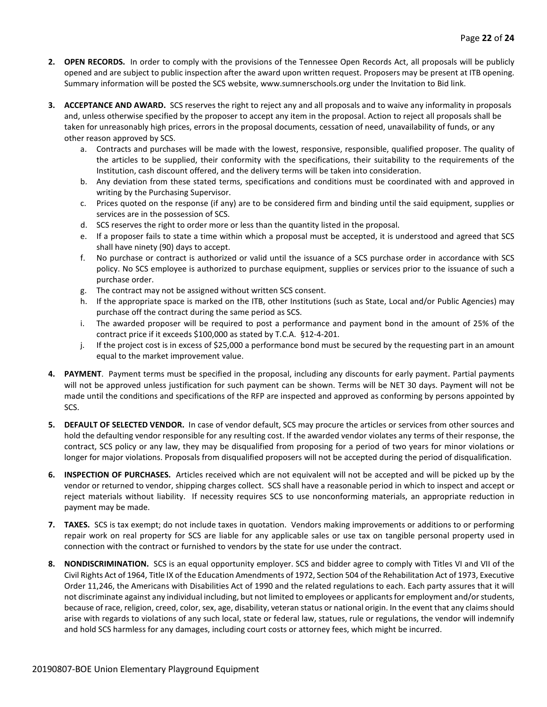- **2. OPEN RECORDS.** In order to comply with the provisions of the Tennessee Open Records Act, all proposals will be publicly opened and are subject to public inspection after the award upon written request. Proposers may be present at ITB opening. Summary information will be posted the SCS website, www.sumnerschools.org under the Invitation to Bid link.
- **3. ACCEPTANCE AND AWARD.** SCS reserves the right to reject any and all proposals and to waive any informality in proposals and, unless otherwise specified by the proposer to accept any item in the proposal. Action to reject all proposals shall be taken for unreasonably high prices, errors in the proposal documents, cessation of need, unavailability of funds, or any other reason approved by SCS.
	- a. Contracts and purchases will be made with the lowest, responsive, responsible, qualified proposer. The quality of the articles to be supplied, their conformity with the specifications, their suitability to the requirements of the Institution, cash discount offered, and the delivery terms will be taken into consideration.
	- b. Any deviation from these stated terms, specifications and conditions must be coordinated with and approved in writing by the Purchasing Supervisor.
	- c. Prices quoted on the response (if any) are to be considered firm and binding until the said equipment, supplies or services are in the possession of SCS.
	- d. SCS reserves the right to order more or less than the quantity listed in the proposal.
	- e. If a proposer fails to state a time within which a proposal must be accepted, it is understood and agreed that SCS shall have ninety (90) days to accept.
	- f. No purchase or contract is authorized or valid until the issuance of a SCS purchase order in accordance with SCS policy. No SCS employee is authorized to purchase equipment, supplies or services prior to the issuance of such a purchase order.
	- g. The contract may not be assigned without written SCS consent.
	- h. If the appropriate space is marked on the ITB, other Institutions (such as State, Local and/or Public Agencies) may purchase off the contract during the same period as SCS.
	- i. The awarded proposer will be required to post a performance and payment bond in the amount of 25% of the contract price if it exceeds \$100,000 as stated by T.C.A. §12-4-201.
	- j. If the project cost is in excess of \$25,000 a performance bond must be secured by the requesting part in an amount equal to the market improvement value.
- **4. PAYMENT**. Payment terms must be specified in the proposal, including any discounts for early payment. Partial payments will not be approved unless justification for such payment can be shown. Terms will be NET 30 days. Payment will not be made until the conditions and specifications of the RFP are inspected and approved as conforming by persons appointed by SCS.
- **5. DEFAULT OF SELECTED VENDOR.** In case of vendor default, SCS may procure the articles or services from other sources and hold the defaulting vendor responsible for any resulting cost. If the awarded vendor violates any terms of their response, the contract, SCS policy or any law, they may be disqualified from proposing for a period of two years for minor violations or longer for major violations. Proposals from disqualified proposers will not be accepted during the period of disqualification.
- **6. INSPECTION OF PURCHASES.** Articles received which are not equivalent will not be accepted and will be picked up by the vendor or returned to vendor, shipping charges collect. SCS shall have a reasonable period in which to inspect and accept or reject materials without liability. If necessity requires SCS to use nonconforming materials, an appropriate reduction in payment may be made.
- **7. TAXES.** SCS is tax exempt; do not include taxes in quotation. Vendors making improvements or additions to or performing repair work on real property for SCS are liable for any applicable sales or use tax on tangible personal property used in connection with the contract or furnished to vendors by the state for use under the contract.
- **8. NONDISCRIMINATION.** SCS is an equal opportunity employer. SCS and bidder agree to comply with Titles VI and VII of the Civil Rights Act of 1964, Title IX of the Education Amendments of 1972, Section 504 of the Rehabilitation Act of 1973, Executive Order 11,246, the Americans with Disabilities Act of 1990 and the related regulations to each. Each party assures that it will not discriminate against any individual including, but not limited to employees or applicants for employment and/or students, because of race, religion, creed, color, sex, age, disability, veteran status or national origin. In the event that any claims should arise with regards to violations of any such local, state or federal law, statues, rule or regulations, the vendor will indemnify and hold SCS harmless for any damages, including court costs or attorney fees, which might be incurred.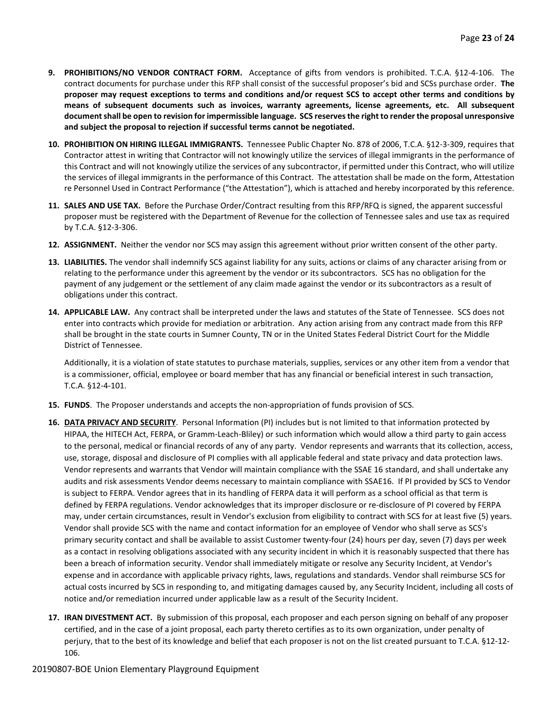- **9. PROHIBITIONS/NO VENDOR CONTRACT FORM.** Acceptance of gifts from vendors is prohibited. T.C.A. §12-4-106. The contract documents for purchase under this RFP shall consist of the successful proposer's bid and SCSs purchase order. **The proposer may request exceptions to terms and conditions and/or request SCS to accept other terms and conditions by means of subsequent documents such as invoices, warranty agreements, license agreements, etc. All subsequent document shall be open to revision for impermissible language. SCS reserves the right to render the proposal unresponsive and subject the proposal to rejection if successful terms cannot be negotiated.**
- **10. PROHIBITION ON HIRING ILLEGAL IMMIGRANTS.** Tennessee Public Chapter No. 878 of 2006, T.C.A. §12-3-309, requires that Contractor attest in writing that Contractor will not knowingly utilize the services of illegal immigrants in the performance of this Contract and will not knowingly utilize the services of any subcontractor, if permitted under this Contract, who will utilize the services of illegal immigrants in the performance of this Contract. The attestation shall be made on the form, Attestation re Personnel Used in Contract Performance ("the Attestation"), which is attached and hereby incorporated by this reference.
- **11. SALES AND USE TAX.** Before the Purchase Order/Contract resulting from this RFP/RFQ is signed, the apparent successful proposer must be registered with the Department of Revenue for the collection of Tennessee sales and use tax as required by T.C.A. §12-3-306.
- **12. ASSIGNMENT.** Neither the vendor nor SCS may assign this agreement without prior written consent of the other party.
- **13. LIABILITIES.** The vendor shall indemnify SCS against liability for any suits, actions or claims of any character arising from or relating to the performance under this agreement by the vendor or its subcontractors. SCS has no obligation for the payment of any judgement or the settlement of any claim made against the vendor or its subcontractors as a result of obligations under this contract.
- **14. APPLICABLE LAW.** Any contract shall be interpreted under the laws and statutes of the State of Tennessee. SCS does not enter into contracts which provide for mediation or arbitration. Any action arising from any contract made from this RFP shall be brought in the state courts in Sumner County, TN or in the United States Federal District Court for the Middle District of Tennessee.

Additionally, it is a violation of state statutes to purchase materials, supplies, services or any other item from a vendor that is a commissioner, official, employee or board member that has any financial or beneficial interest in such transaction, T.C.A. §12-4-101.

- **15. FUNDS**. The Proposer understands and accepts the non-appropriation of funds provision of SCS.
- **16. DATA PRIVACY AND SECURITY**. Personal Information (PI) includes but is not limited to that information protected by HIPAA, the HITECH Act, FERPA, or Gramm-Leach-Bliley) or such information which would allow a third party to gain access to the personal, medical or financial records of any of any party. Vendor represents and warrants that its collection, access, use, storage, disposal and disclosure of PI complies with all applicable federal and state privacy and data protection laws. Vendor represents and warrants that Vendor will maintain compliance with the SSAE 16 standard, and shall undertake any audits and risk assessments Vendor deems necessary to maintain compliance with SSAE16. If PI provided by SCS to Vendor is subject to FERPA. Vendor agrees that in its handling of FERPA data it will perform as a school official as that term is defined by FERPA regulations. Vendor acknowledges that its improper disclosure or re-disclosure of PI covered by FERPA may, under certain circumstances, result in Vendor's exclusion from eligibility to contract with SCS for at least five (5) years. Vendor shall provide SCS with the name and contact information for an employee of Vendor who shall serve as SCS's primary security contact and shall be available to assist Customer twenty-four (24) hours per day, seven (7) days per week as a contact in resolving obligations associated with any security incident in which it is reasonably suspected that there has been a breach of information security. Vendor shall immediately mitigate or resolve any Security Incident, at Vendor's expense and in accordance with applicable privacy rights, laws, regulations and standards. Vendor shall reimburse SCS for actual costs incurred by SCS in responding to, and mitigating damages caused by, any Security Incident, including all costs of notice and/or remediation incurred under applicable law as a result of the Security Incident.
- **17. IRAN DIVESTMENT ACT.** By submission of this proposal, each proposer and each person signing on behalf of any proposer certified, and in the case of a joint proposal, each party thereto certifies as to its own organization, under penalty of perjury, that to the best of its knowledge and belief that each proposer is not on the list created pursuant to T.C.A. §12-12- 106.

#### 20190807-BOE Union Elementary Playground Equipment